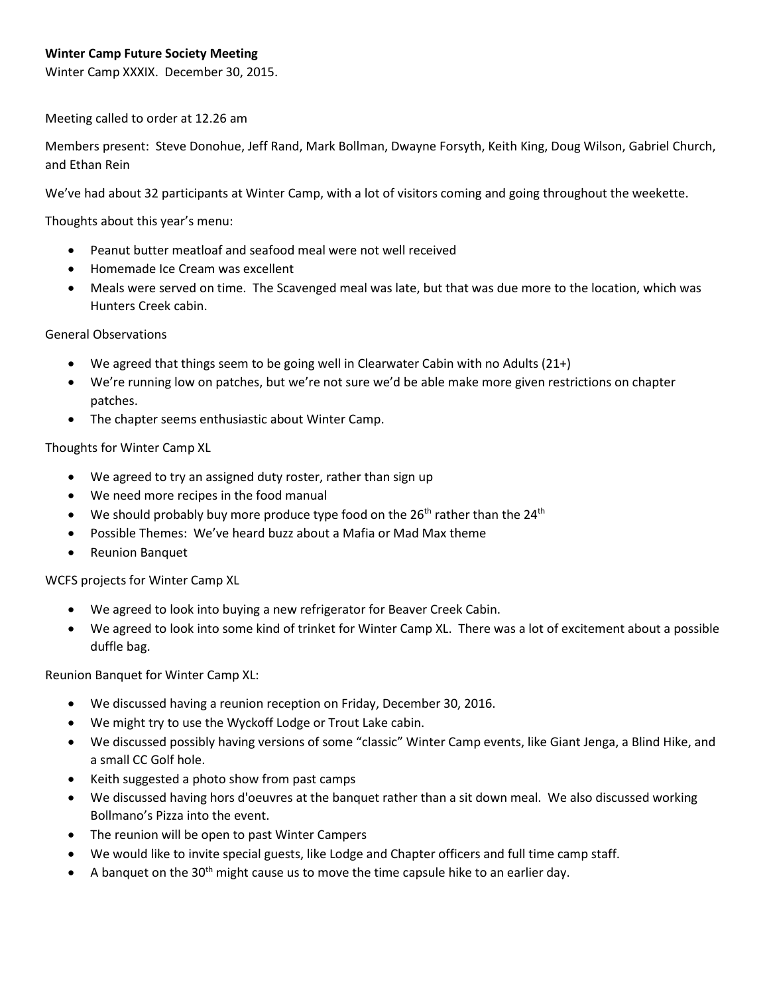Winter Camp XXXIX. December 30, 2015.

Meeting called to order at 12.26 am

Members present: Steve Donohue, Jeff Rand, Mark Bollman, Dwayne Forsyth, Keith King, Doug Wilson, Gabriel Church, and Ethan Rein

We've had about 32 participants at Winter Camp, with a lot of visitors coming and going throughout the weekette.

Thoughts about this year's menu:

- Peanut butter meatloaf and seafood meal were not well received
- Homemade Ice Cream was excellent
- Meals were served on time. The Scavenged meal was late, but that was due more to the location, which was Hunters Creek cabin.

General Observations

- We agreed that things seem to be going well in Clearwater Cabin with no Adults (21+)
- We're running low on patches, but we're not sure we'd be able make more given restrictions on chapter patches.
- The chapter seems enthusiastic about Winter Camp.

Thoughts for Winter Camp XL

- We agreed to try an assigned duty roster, rather than sign up
- We need more recipes in the food manual
- We should probably buy more produce type food on the  $26<sup>th</sup>$  rather than the  $24<sup>th</sup>$
- Possible Themes: We've heard buzz about a Mafia or Mad Max theme
- Reunion Banquet

WCFS projects for Winter Camp XL

- We agreed to look into buying a new refrigerator for Beaver Creek Cabin.
- We agreed to look into some kind of trinket for Winter Camp XL. There was a lot of excitement about a possible duffle bag.

Reunion Banquet for Winter Camp XL:

- We discussed having a reunion reception on Friday, December 30, 2016.
- We might try to use the Wyckoff Lodge or Trout Lake cabin.
- We discussed possibly having versions of some "classic" Winter Camp events, like Giant Jenga, a Blind Hike, and a small CC Golf hole.
- Keith suggested a photo show from past camps
- We discussed having hors d'oeuvres at the banquet rather than a sit down meal. We also discussed working Bollmano's Pizza into the event.
- The reunion will be open to past Winter Campers
- We would like to invite special guests, like Lodge and Chapter officers and full time camp staff.
- A banquet on the  $30<sup>th</sup>$  might cause us to move the time capsule hike to an earlier day.